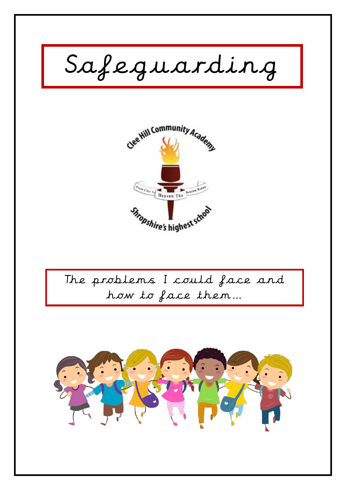



The problems I could face and how to face them…

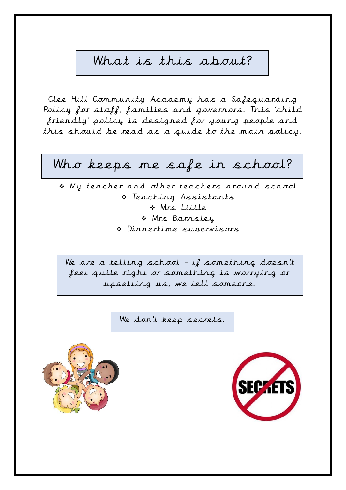# What is this about?

Clee Hill Community Academy has a Safeguarding Policy for staff, families and governors. This 'child friendly' policy is designed for young people and this should be read as a guide to the main policy.

# Who keeps me safe in school?

❖ My teacher and other teachers around school ❖ Teaching Assistants ❖ Mrs Little ❖ Mrs Barnsley ❖ Dinnertime supervisors

We are a telling school – if something doesn't feel quite right or something is worrying or upsetting us, we tell someone.

We don't keep secrets.



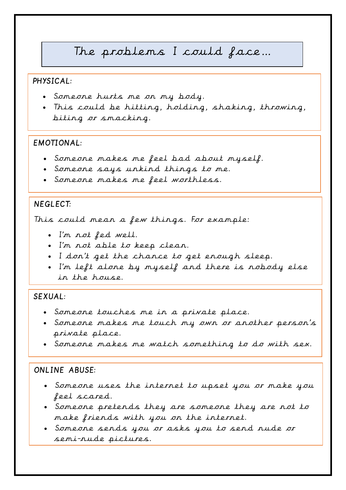# The problems I could face…

## PHYSICAL:

- Someone hurts me on my body.
- This could be hitting, holding, shaking, throwing, biting or smacking.

#### EMOTIONAL:

- Someone makes me feel bad about myself.
- Someone says unkind things to me.
- Someone makes me feel worthless.

## NEGLECT:

This could mean a few things. For example:

- I'm not fed well.
- I'm not able to keep clean.
- I don't get the chance to get enough sleep.
- I'm left alone by myself and there is nobody else in the house.

### SEXUAL:

- Someone touches me in a private place.
- Someone makes me touch my own or another person's private place.
- Someone makes me watch something to do with sex.

## ONLINE ABUSE:

- Someone uses the internet to upset you or make you feel scared.
- Someone pretends they are someone they are not to make friends with you on the internet.
- Someone sends you or asks you to send nude or semi-nude pictures.